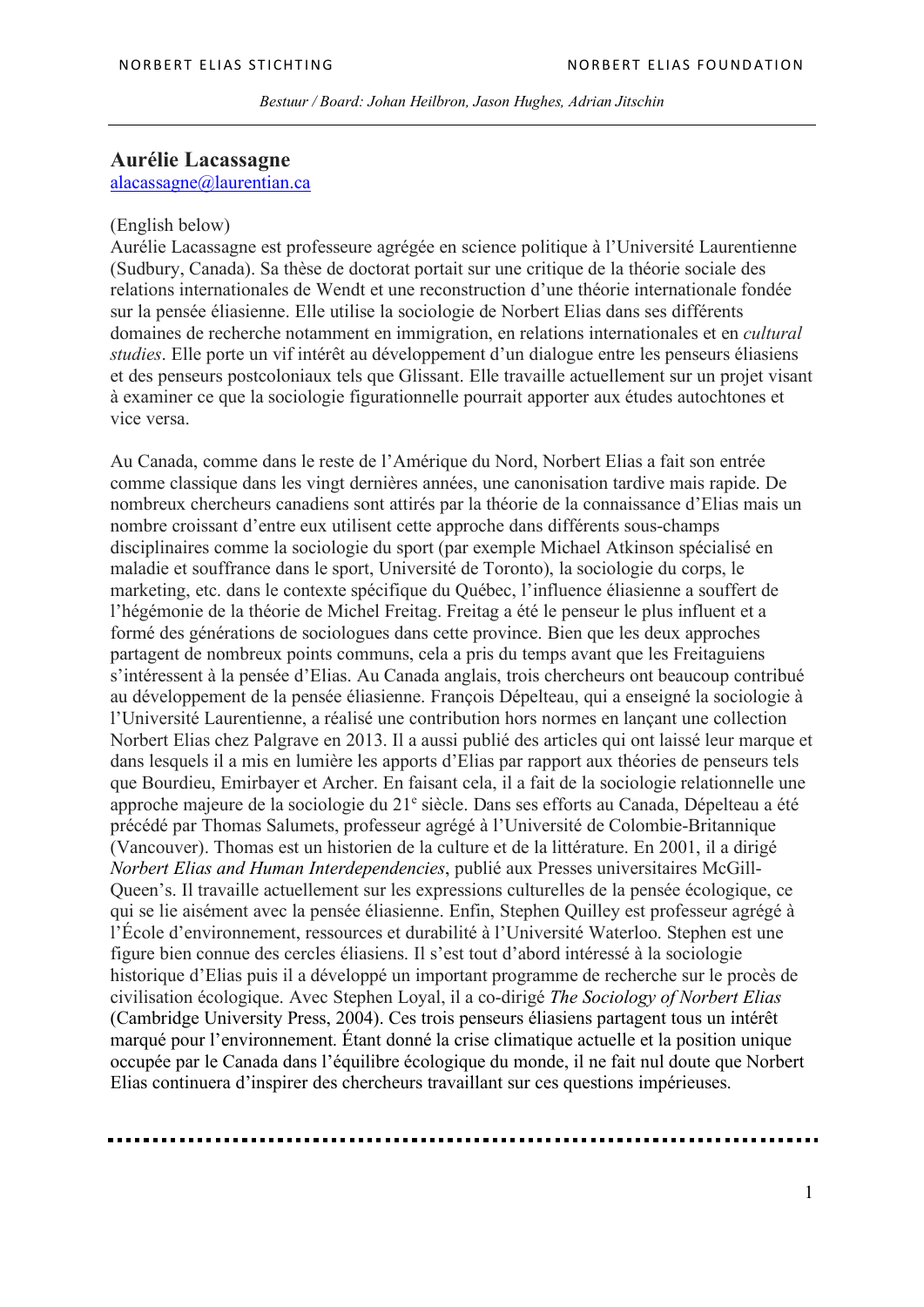*Bestuur / Board: Johan Heilbron, Jason Hughes, Adrian Jitschin*

## **Aurélie Lacassagne** alacassagne@laurentian.ca

## (English below)

Aurélie Lacassagne est professeure agrégée en science politique à l'Université Laurentienne (Sudbury, Canada). Sa thèse de doctorat portait sur une critique de la théorie sociale des relations internationales de Wendt et une reconstruction d'une théorie internationale fondée sur la pensée éliasienne. Elle utilise la sociologie de Norbert Elias dans ses différents domaines de recherche notamment en immigration, en relations internationales et en *cultural studies*. Elle porte un vif intérêt au développement d'un dialogue entre les penseurs éliasiens et des penseurs postcoloniaux tels que Glissant. Elle travaille actuellement sur un projet visant à examiner ce que la sociologie figurationnelle pourrait apporter aux études autochtones et vice versa.

Au Canada, comme dans le reste de l'Amérique du Nord, Norbert Elias a fait son entrée comme classique dans les vingt dernières années, une canonisation tardive mais rapide. De nombreux chercheurs canadiens sont attirés par la théorie de la connaissance d'Elias mais un nombre croissant d'entre eux utilisent cette approche dans différents sous-champs disciplinaires comme la sociologie du sport (par exemple Michael Atkinson spécialisé en maladie et souffrance dans le sport, Université de Toronto), la sociologie du corps, le marketing, etc. dans le contexte spécifique du Québec, l'influence éliasienne a souffert de l'hégémonie de la théorie de Michel Freitag. Freitag a été le penseur le plus influent et a formé des générations de sociologues dans cette province. Bien que les deux approches partagent de nombreux points communs, cela a pris du temps avant que les Freitaguiens s'intéressent à la pensée d'Elias. Au Canada anglais, trois chercheurs ont beaucoup contribué au développement de la pensée éliasienne. François Dépelteau, qui a enseigné la sociologie à l'Université Laurentienne, a réalisé une contribution hors normes en lançant une collection Norbert Elias chez Palgrave en 2013. Il a aussi publié des articles qui ont laissé leur marque et dans lesquels il a mis en lumière les apports d'Elias par rapport aux théories de penseurs tels que Bourdieu, Emirbayer et Archer. En faisant cela, il a fait de la sociologie relationnelle une approche majeure de la sociologie du 21e siècle. Dans ses efforts au Canada, Dépelteau a été précédé par Thomas Salumets, professeur agrégé à l'Université de Colombie-Britannique (Vancouver). Thomas est un historien de la culture et de la littérature. En 2001, il a dirigé *Norbert Elias and Human Interdependencies*, publié aux Presses universitaires McGill-Queen's. Il travaille actuellement sur les expressions culturelles de la pensée écologique, ce qui se lie aisément avec la pensée éliasienne. Enfin, Stephen Quilley est professeur agrégé à l'École d'environnement, ressources et durabilité à l'Université Waterloo. Stephen est une figure bien connue des cercles éliasiens. Il s'est tout d'abord intéressé à la sociologie historique d'Elias puis il a développé un important programme de recherche sur le procès de civilisation écologique. Avec Stephen Loyal, il a co-dirigé *The Sociology of Norbert Elias* (Cambridge University Press, 2004). Ces trois penseurs éliasiens partagent tous un intérêt marqué pour l'environnement. Étant donné la crise climatique actuelle et la position unique occupée par le Canada dans l'équilibre écologique du monde, il ne fait nul doute que Norbert Elias continuera d'inspirer des chercheurs travaillant sur ces questions impérieuses.